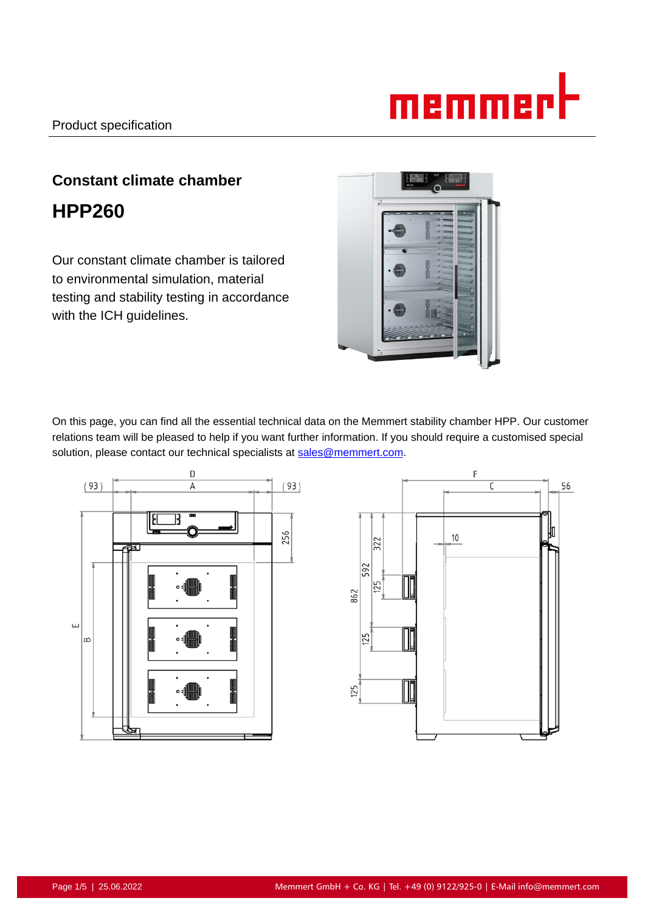

# **Constant climate chamber HPP260**

Our constant climate chamber is tailored to environmental simulation, material testing and stability testing in accordance with the ICH guidelines.



On this page, you can find all the essential technical data on the Memmert stability chamber HPP. Our customer relations team will be pleased to help if you want further information. If you should require a customised special solution, please contact our technical specialists at sales@memmert.com.



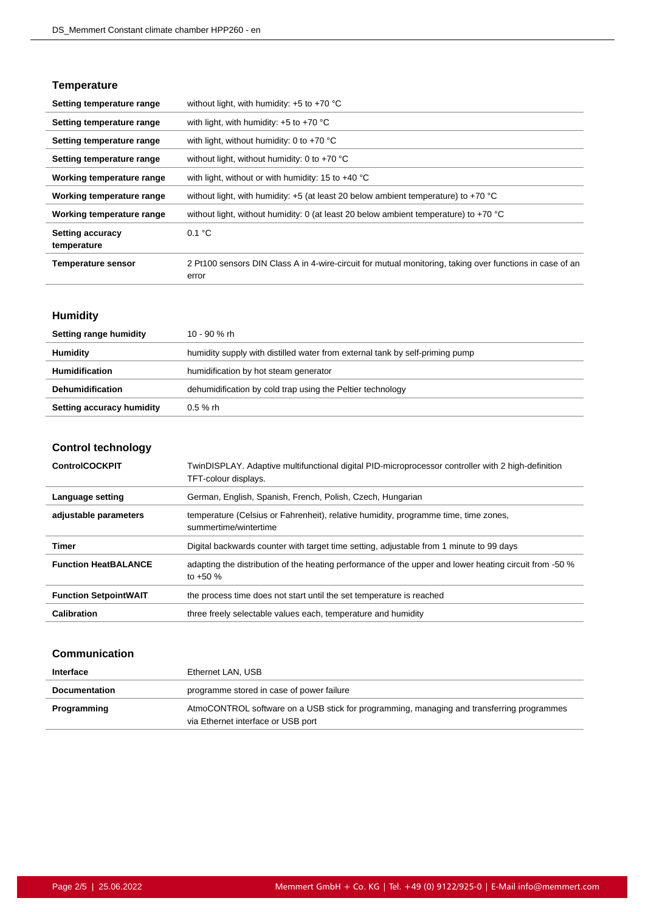#### **Temperature**

| Setting temperature range              | without light, with humidity: $+5$ to $+70$ °C                                                                    |
|----------------------------------------|-------------------------------------------------------------------------------------------------------------------|
| Setting temperature range              | with light, with humidity: $+5$ to $+70$ °C                                                                       |
| Setting temperature range              | with light, without humidity: 0 to $+70$ °C                                                                       |
| Setting temperature range              | without light, without humidity: 0 to $+70$ °C                                                                    |
| Working temperature range              | with light, without or with humidity: 15 to $+40^{\circ}$ C                                                       |
| Working temperature range              | without light, with humidity: $+5$ (at least 20 below ambient temperature) to $+70$ °C                            |
| Working temperature range              | without light, without humidity: 0 (at least 20 below ambient temperature) to +70 °C                              |
| <b>Setting accuracy</b><br>temperature | 0.1 °C                                                                                                            |
| <b>Temperature sensor</b>              | 2 Pt100 sensors DIN Class A in 4-wire-circuit for mutual monitoring, taking over functions in case of an<br>error |

# **Humidity**

| Setting range humidity    | 10 - 90 % rh                                                                 |
|---------------------------|------------------------------------------------------------------------------|
| <b>Humidity</b>           | humidity supply with distilled water from external tank by self-priming pump |
| <b>Humidification</b>     | humidification by hot steam generator                                        |
| <b>Dehumidification</b>   | dehumidification by cold trap using the Peltier technology                   |
| Setting accuracy humidity | $0.5 \%$ rh                                                                  |

# **Control technology**

| <b>ControlCOCKPIT</b>        | TwinDISPLAY. Adaptive multifunctional digital PID-microprocessor controller with 2 high-definition<br>TFT-colour displays. |
|------------------------------|----------------------------------------------------------------------------------------------------------------------------|
| Language setting             | German, English, Spanish, French, Polish, Czech, Hungarian                                                                 |
| adjustable parameters        | temperature (Celsius or Fahrenheit), relative humidity, programme time, time zones,<br>summertime/wintertime               |
| Timer                        | Digital backwards counter with target time setting, adjustable from 1 minute to 99 days                                    |
| <b>Function HeatBALANCE</b>  | adapting the distribution of the heating performance of the upper and lower heating circuit from -50 %<br>to $+50\%$       |
| <b>Function SetpointWAIT</b> | the process time does not start until the set temperature is reached                                                       |
| Calibration                  | three freely selectable values each, temperature and humidity                                                              |

#### **Communication**

| Interface            | Ethernet LAN, USB                                                                                                               |
|----------------------|---------------------------------------------------------------------------------------------------------------------------------|
| <b>Documentation</b> | programme stored in case of power failure                                                                                       |
| Programming          | AtmoCONTROL software on a USB stick for programming, managing and transferring programmes<br>via Ethernet interface or USB port |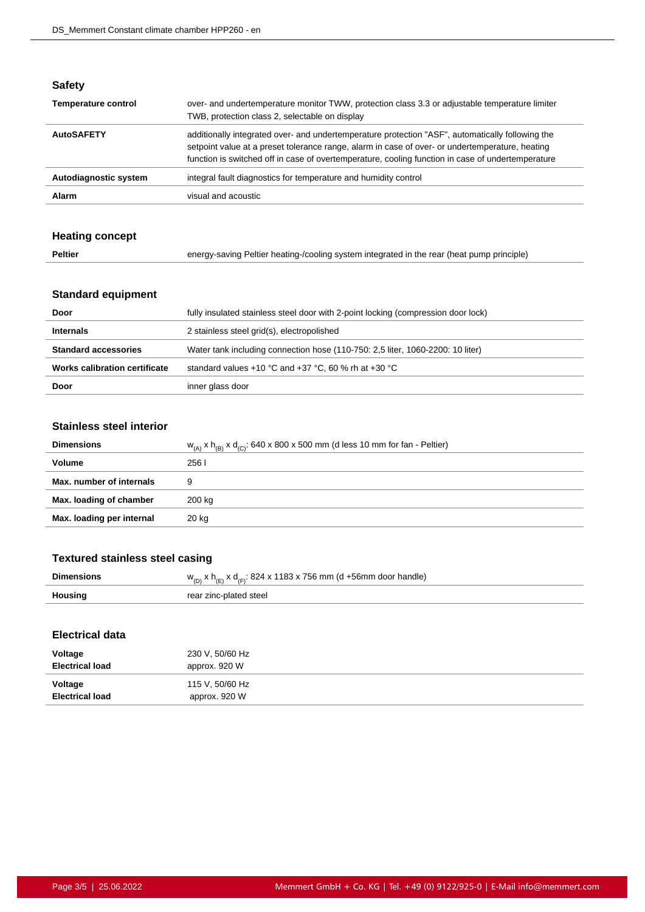#### **Safety**

| <b>Temperature control</b> | over- and undertemperature monitor TWW, protection class 3.3 or adjustable temperature limiter<br>TWB, protection class 2, selectable on display                                                                                                                                                         |
|----------------------------|----------------------------------------------------------------------------------------------------------------------------------------------------------------------------------------------------------------------------------------------------------------------------------------------------------|
| <b>AutoSAFETY</b>          | additionally integrated over- and undertemperature protection "ASF", automatically following the<br>setpoint value at a preset tolerance range, alarm in case of over- or undertemperature, heating<br>function is switched off in case of overtemperature, cooling function in case of undertemperature |
| Autodiagnostic system      | integral fault diagnostics for temperature and humidity control                                                                                                                                                                                                                                          |
| Alarm                      | visual and acoustic                                                                                                                                                                                                                                                                                      |

# **Heating concept**

| Peltier | energy-saving Peltier heating-/cooling system integrated in the rear (heat pump principle) |
|---------|--------------------------------------------------------------------------------------------|
|---------|--------------------------------------------------------------------------------------------|

# **Standard equipment**

| Door                          | fully insulated stainless steel door with 2-point locking (compression door lock) |
|-------------------------------|-----------------------------------------------------------------------------------|
| <b>Internals</b>              | 2 stainless steel grid(s), electropolished                                        |
| <b>Standard accessories</b>   | Water tank including connection hose (110-750: 2.5 liter, 1060-2200: 10 liter)    |
| Works calibration certificate | standard values +10 °C and +37 °C, 60 % rh at +30 °C                              |
| Door                          | inner glass door                                                                  |

#### **Stainless steel interior**

| <b>Dimensions</b>         | $W_{(A)} x h_{(B)} x d_{(C)}$ : 640 x 800 x 500 mm (d less 10 mm for fan - Peltier) |
|---------------------------|-------------------------------------------------------------------------------------|
| Volume                    | 256 l                                                                               |
| Max. number of internals  | 9                                                                                   |
| Max. loading of chamber   | 200 kg                                                                              |
| Max. loading per internal | 20 kg                                                                               |
|                           |                                                                                     |

# **Textured stainless steel casing**

| <b>Dimensions</b> | $w_{(D)}$ x h <sub>(F)</sub> x d <sub>(F)</sub> : 824 x 1183 x 756 mm (d +56mm door handle) |
|-------------------|---------------------------------------------------------------------------------------------|
| Housing           | rear zinc-plated steel                                                                      |

#### **Electrical data**

| Voltage                | 230 V, 50/60 Hz |
|------------------------|-----------------|
| <b>Electrical load</b> | approx. 920 W   |
| Voltage                | 115 V, 50/60 Hz |
| <b>Electrical load</b> | approx. 920 W   |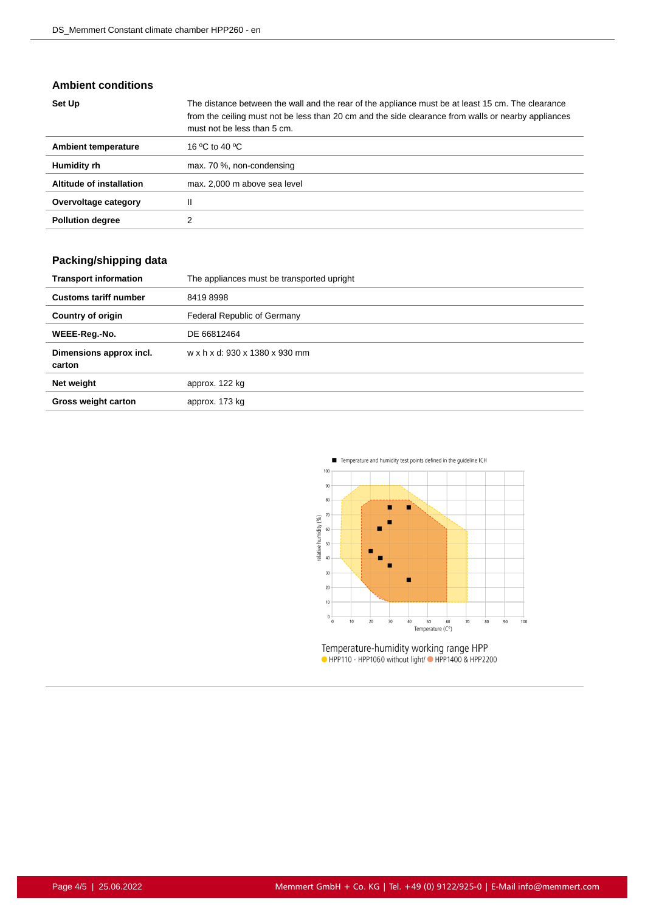#### **Ambient conditions**

| Set Up                   | The distance between the wall and the rear of the appliance must be at least 15 cm. The clearance<br>from the ceiling must not be less than 20 cm and the side clearance from walls or nearby appliances<br>must not be less than 5 cm. |
|--------------------------|-----------------------------------------------------------------------------------------------------------------------------------------------------------------------------------------------------------------------------------------|
| Ambient temperature      | 16 °C to 40 °C                                                                                                                                                                                                                          |
| Humidity rh              | max. 70 %, non-condensing                                                                                                                                                                                                               |
| Altitude of installation | max. 2,000 m above sea level                                                                                                                                                                                                            |
| Overvoltage category     | Ш                                                                                                                                                                                                                                       |
| <b>Pollution degree</b>  |                                                                                                                                                                                                                                         |

# **Packing/shipping data**

| <b>Transport information</b>      | The appliances must be transported upright |
|-----------------------------------|--------------------------------------------|
| <b>Customs tariff number</b>      | 84198998                                   |
| <b>Country of origin</b>          | Federal Republic of Germany                |
| WEEE-Reg.-No.                     | DE 66812464                                |
| Dimensions approx incl.<br>carton | w x h x d: 930 x 1380 x 930 mm             |
| Net weight                        | approx. 122 kg                             |
| <b>Gross weight carton</b>        | approx. 173 kg                             |



Temperature-humidity working range HPP<br>• HPP110 - HPP1060 without light/• HPP1400 & HPP2200